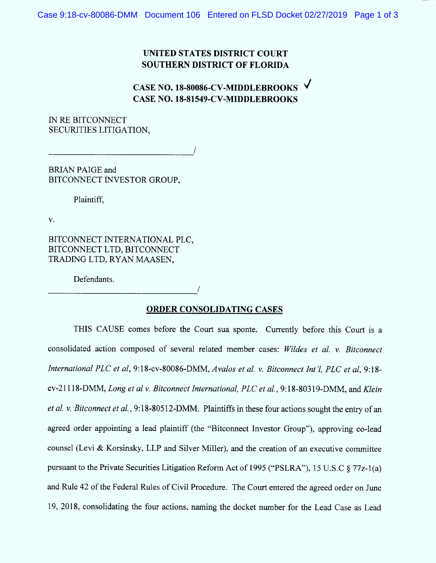## UNITED STATES DISTRICT COURT SOUTHERN DISTRICT OF FLORIDA

## CASE NO. 18-80086-CV-MIDDLEBROOKS CASE NO. 18-81549-CV-MIDDLEBROOKS

/

IN RE BITCONNECT SECURITIES LITIGATION,

BRIAN PAIGE and BITCONNECT INVESTOR GROUP,

Plaintiff,

 $V<sub>1</sub>$ 

BITCONNECT INTERNATIONAL PLC, BITCONNECT LTD, BITCONNECT TRADING LTD, RYAN MAASEN,

Defendants.

## ORDER CONSOLIDATING CASES

/

THIS CAUSE comes before the Court sua sponte. Currently before this Court is a consolidated action composed of several related member cases: Wildes et al. v. Bitconnect International PLC et al, 9:18-cv-80086-DMM, Avalos et al. v. Bitconnect Int'l, PLC et al, 9:18cv-21118-DMM, Long et al v. Bitconnect International, PLC et al., 9:18-80319-DMM, and Klein et al. v. Bitconnect et al., 9:18-80512-DMM. Plaintiffs in these four actions sought the entry of an agreed order appointing a lead plaintiff (the "Bitconnect Investor Group"), approving co-lead counsel (Levi & Korsinsky, LLP and Silver Miller), and the creation of an executive committee pursuant to the Private Securities Litigation Reform Act of 1995 ("PSLRA"), 15 U.S.C § 77z-1(a) and Rule 42 of the Federal Rules of Civil Procedure. The Court entered the agreed order on June 19, 2018, consolidating the four actions, naming the docket number for the Lead Case as Lead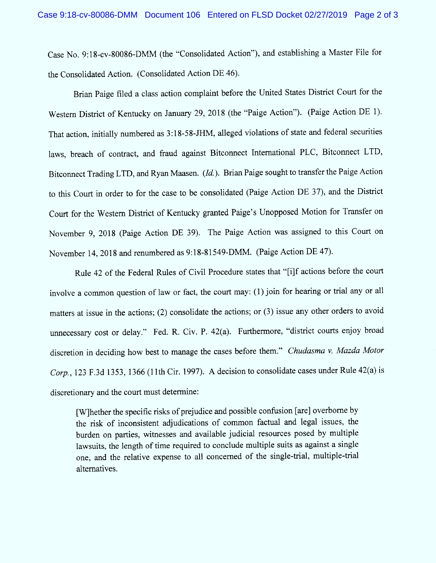Case No. 9:18-cv-80086-DMM (the "Consolidated Action"), and establishing a Master File for the Consolidated Action. (Consolidated Action DE 46).

Brian Paige filed a class action complaint before the United States District Court for the Western District of Kentucky on January 29, 2018 (the "Paige Action"). (Paige Action DE 1). That action, initially numbered as 3:18-58-JHM , alleged violations of state and federal securities laws, breach of contract, and fraud against Bitconnect International PLC, Bitconnect LTD, Bitconnect Trading LTD, and Ryan Maasen.  $(Id$ .). Brian Paige sought to transfer the Paige Action to this Court in order to for the case to be consolidated (Paige Action DE 37), and the District Court for the Western District of Kentucky granted Paige's Unopposed Motion for Transfer on November 9, 2018 (Paige Action DE 39). The Paige Action was assigned to this Court on November 14, 2018 and renumbered as 9:18-81549-DMM. (Paige Action DE 47).

Rule 42 of the Federal Rules of Civil Procedure states that "[i]f actions before the court involve a common question of 1aw or fact, the court may: (1) join for hearing or trial any or al1 matters at issue in the actions; (2) consolidate the actions; or (3) issue any other orders to avoid unnecessary cost or delay." Fed. R. Civ. P. 42(a). Furthermore, "district courts enjoy broad discretion in deciding how best to manage the cases before them." Chudasma v. Mazda Motor Corp., 123 F.3d 1353, 1366 (11th Cir. 1997). A decision to consolidate cases under Rule 42(a) is discretionary and the court must determine:

[W]hether the specific risks of prejudice and possible confusion [are] overborne by the risk of inconsistent adjudications of common factual and legal issues, the burden on parties, witnesses and available judicial resources posed by multiple lawsuits, the length of time required to conclude multiple suits as against a single one, and the relative expense to all concerned of the single-trial, multiple-trial alternatives.